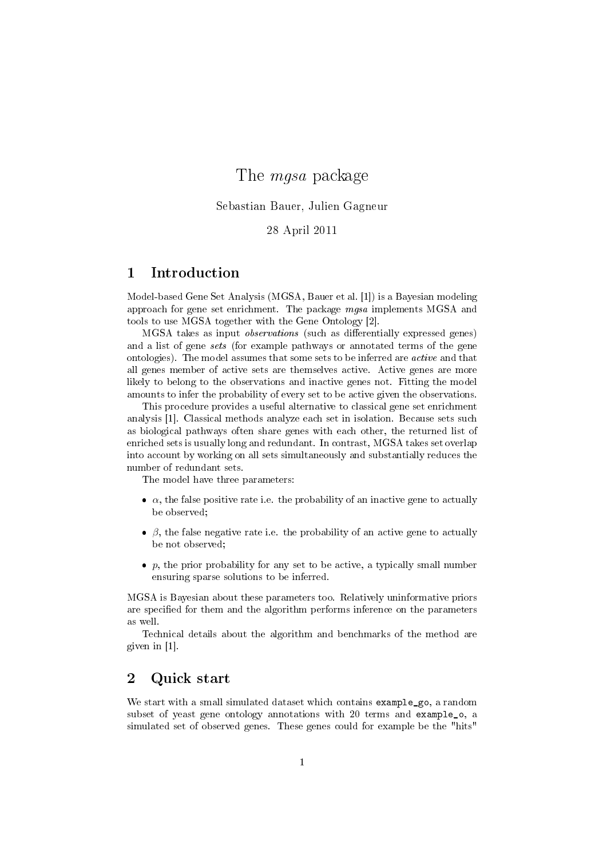# The mgsa package

Sebastian Bauer, Julien Gagneur

28 April 2011

### 1 Introduction

Model-based Gene Set Analysis (MGSA, Bauer et al. [1]) is a Bayesian modeling approach for gene set enrichment. The package mgsa implements MGSA and tools to use MGSA together with the Gene Ontology [2].

MGSA takes as input *observations* (such as differentially expressed genes) and a list of gene sets (for example pathways or annotated terms of the gene ontologies). The model assumes that some sets to be inferred are active and that all genes member of active sets are themselves active. Active genes are more likely to belong to the observations and inactive genes not. Fitting the model amounts to infer the probability of every set to be active given the observations.

This procedure provides a useful alternative to classical gene set enrichment analysis [1]. Classical methods analyze each set in isolation. Because sets such as biological pathways often share genes with each other, the returned list of enriched sets is usually long and redundant. In contrast, MGSA takes set overlap into account by working on all sets simultaneously and substantially reduces the number of redundant sets.

The model have three parameters:

- $\bullet$   $\alpha$ , the false positive rate i.e. the probability of an inactive gene to actually be observed;
- $\beta$ , the false negative rate i.e. the probability of an active gene to actually be not observed;
- $\bullet$  p, the prior probability for any set to be active, a typically small number ensuring sparse solutions to be inferred.

MGSA is Bayesian about these parameters too. Relatively uninformative priors are specified for them and the algorithm performs inference on the parameters as well.

Technical details about the algorithm and benchmarks of the method are given in [1].

#### 2 Quick start

We start with a small simulated dataset which contains **example\_go**, a random subset of yeast gene ontology annotations with 20 terms and example\_o, a simulated set of observed genes. These genes could for example be the "hits"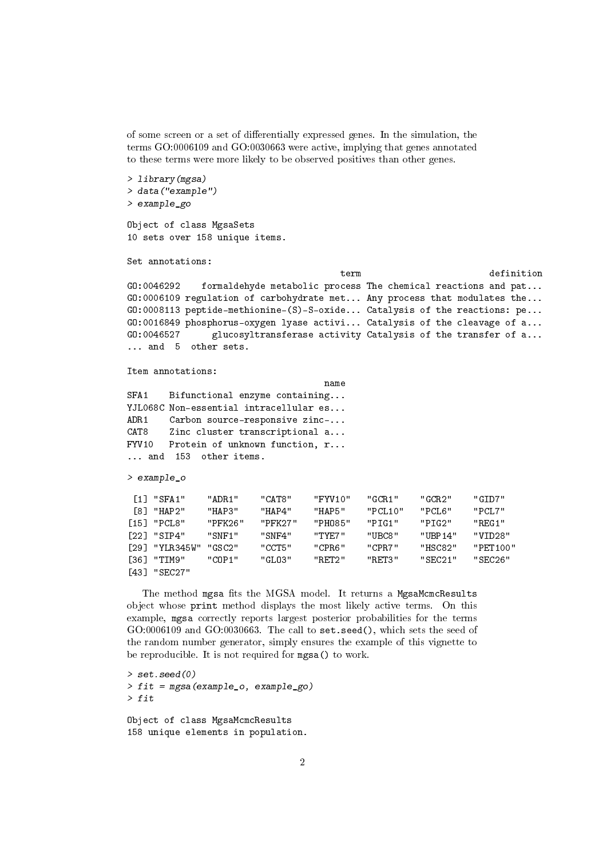of some screen or a set of differentially expressed genes. In the simulation, the terms GO:0006109 and GO:0030663 were active, implying that genes annotated to these terms were more likely to be observed positives than other genes.

```
> library(mgsa)
> data("example")
> example_go
```
Object of class MgsaSets 10 sets over 158 unique items.

Set annotations:

term definition GO:0046292 formaldehyde metabolic process The chemical reactions and pat... GO:0006109 regulation of carbohydrate met... Any process that modulates the... GO:0008113 peptide-methionine-(S)-S-oxide... Catalysis of the reactions: pe... GO:0016849 phosphorus-oxygen lyase activi... Catalysis of the cleavage of a... GO:0046527 glucosyltransferase activity Catalysis of the transfer of a... ... and 5 other sets.

Item annotations:

```
name
SFA1 Bifunctional enzyme containing...
YJL068C Non-essential intracellular es...
ADR1 Carbon source-responsive zinc-...
CAT8 Zinc cluster transcriptional a...
FYV10 Protein of unknown function, r...
... and 153 other items.
```
> example\_o

| $\lceil 1 \rceil$ "SFA1"  | " ADR.1 " | "CAT8"  | "FYV10" | "GCR1"  | "GCR2"   | "GIDZ"   |
|---------------------------|-----------|---------|---------|---------|----------|----------|
| [8] "HAP2"                | "HAP3"    | "HAP4"  | "HAP5"  | "PCL10" | "PCL6"   | "PCLZ"   |
| $[15]$ "PCL8"             | "PFK26"   | "PFK27" | "PHO85" | "PTG1"  | "PIG2"   | " REG1 " |
| $\lceil 22 \rceil$ "SIP4" | "SNF1"    | "SNF4"  | "TYF7"  | "URC8"  | "IJRP14" | "VID28"  |
| [29] "YLR345W"            | "GSC2"    | "CCT5"  | "CPR6"  | "CPR7"  | "HSC82"  | "PET100" |
| [36] "TIM9"               | "COP1"    | "GL03"  | "RET2"  | "RET3"  | "SEC21"  | "SEC26"  |
| [43] "SEC27"              |           |         |         |         |          |          |

The method mgsa fits the MGSA model. It returns a MgsaMcmcResults object whose print method displays the most likely active terms. On this example, mgsa correctly reports largest posterior probabilities for the terms GO:0006109 and GO:0030663. The call to set.seed(), which sets the seed of the random number generator, simply ensures the example of this vignette to be reproducible. It is not required for mgsa() to work.

 $>$  set. seed(0) > fit = mgsa(example\_o, example\_go) > fit Object of class MgsaMcmcResults 158 unique elements in population.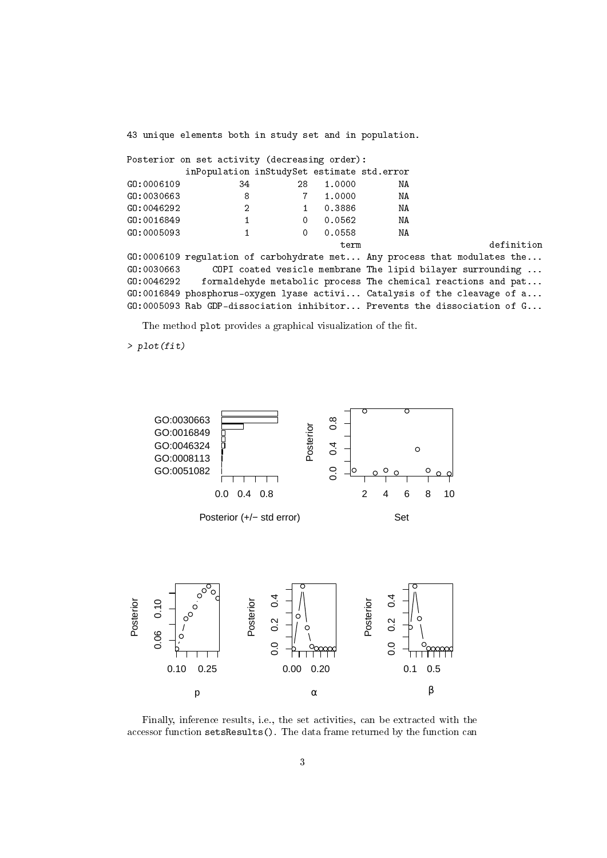43 unique elements both in study set and in population.

|            | Posterior on set activity (decreasing order): |          |        |    |                                                                            |
|------------|-----------------------------------------------|----------|--------|----|----------------------------------------------------------------------------|
|            | inPopulation inStudySet estimate std.error    |          |        |    |                                                                            |
| GO:0006109 | 34                                            | 28       | 1.0000 | ΝA |                                                                            |
| G0:0030663 | 8                                             |          | 1,0000 | NA |                                                                            |
| G0:0046292 | 2                                             |          | 0.3886 | NA |                                                                            |
| GO:0016849 | 1                                             | $\Omega$ | 0.0562 | NA |                                                                            |
| GO:0005093 |                                               | $\Omega$ | 0.0558 | NA |                                                                            |
|            |                                               |          | term   |    | definition                                                                 |
|            |                                               |          |        |    | GO:0006109 regulation of carbohydrate met Any process that modulates the   |
| GO:0030663 |                                               |          |        |    | COPI coated vesicle membrane The lipid bilayer surrounding                 |
| GO:0046292 |                                               |          |        |    | formaldehyde metabolic process The chemical reactions and pat              |
|            |                                               |          |        |    | $G0:0016849$ phosphorus-oxygen lyase activi Catalysis of the cleavage of a |
|            |                                               |          |        |    | G0:0005093 Rab GDP-dissociation inhibitor Prevents the dissociation of G   |

The method plot provides a graphical visualization of the fit.

> plot(fit)





Finally, inference results, i.e., the set activities, can be extracted with the accessor function setsResults(). The data frame returned by the function can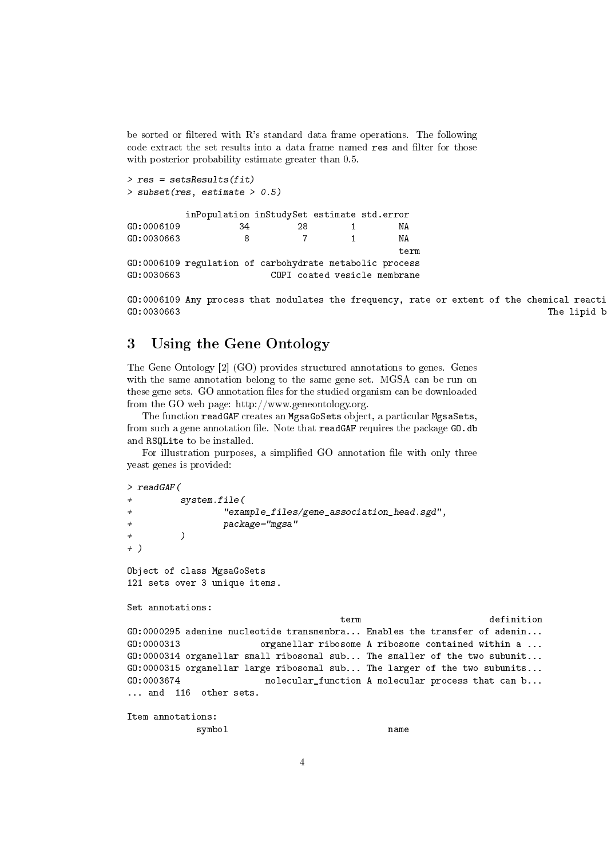be sorted or filtered with  $R$ 's standard data frame operations. The following code extract the set results into a data frame named res and filter for those with posterior probability estimate greater than 0.5.

```
> res = setsResults(fit)
> subset(res, estimate > 0.5)
        inPopulation inStudySet estimate std.error
GO:0006109 34 28 1 NA
GO:0030663 8 7 1 NA
                                      term
GO:0006109 regulation of carbohydrate metabolic process
GO:0030663 COPI coated vesicle membrane
```
GO:0006109 Any process that modulates the frequency, rate or extent of the chemical reacti GO:0030663 The lipid bilayer surrounding a COPI-coated vesicle.

#### 3 Using the Gene Ontology

The Gene Ontology [2] (GO) provides structured annotations to genes. Genes with the same annotation belong to the same gene set. MGSA can be run on these gene sets. GO annotation files for the studied organism can be downloaded from the GO web page: http://www.geneontology.org.

The function readGAF creates an MgsaGoSets object, a particular MgsaSets, from such a gene annotation file. Note that readGAF requires the package GO.db and RSQLite to be installed.

For illustration purposes, a simplified GO annotation file with only three yeast genes is provided:

```
> readGAF(
+ system.file(
                + "example_files/gene_association_head.sgd",
               package="mgsa"
+ )
+ )
Object of class MgsaGoSets
121 sets over 3 unique items.
Set annotations:
                                   term definition
GO:0000295 adenine nucleotide transmembra... Enables the transfer of adenin...
GO:0000313 organellar ribosome A ribosome contained within a ...
GO:0000314 organellar small ribosomal sub... The smaller of the two subunit...
GO:0000315 organellar large ribosomal sub... The larger of the two subunits...
GO:0003674 molecular_function A molecular process that can b...
... and 116 other sets.
Item annotations:
           symbol name
```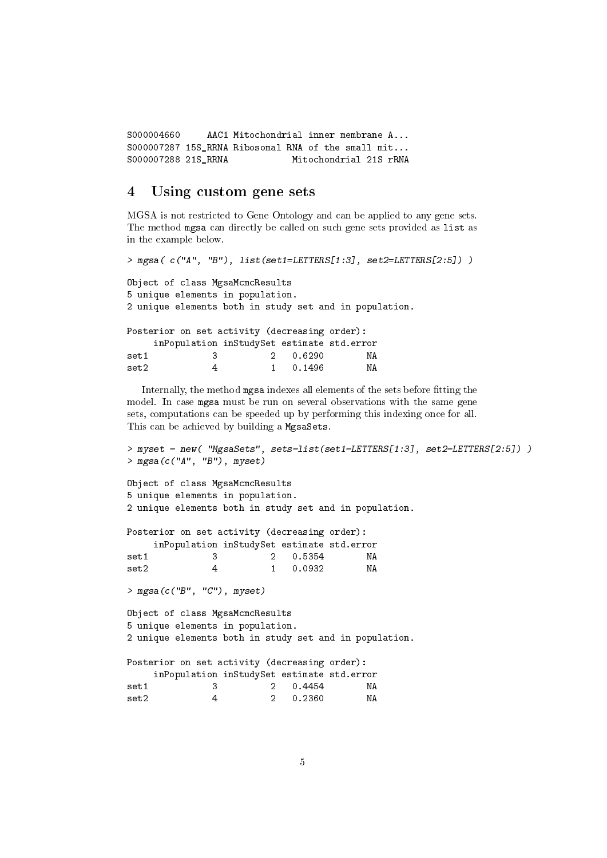```
S000004660 AAC1 Mitochondrial inner membrane A...
S000007287 15S_RRNA Ribosomal RNA of the small mit...
S000007288 21S_RRNA Mitochondrial 21S rRNA
```
#### 4 Using custom gene sets

MGSA is not restricted to Gene Ontology and can be applied to any gene sets. The method mgsa can directly be called on such gene sets provided as list as in the example below.

```
> mgsa( c("A", "B"), list(set1=LETTERS[1:3], set2=LETTERS[2:5]) )
Object of class MgsaMcmcResults
5 unique elements in population.
2 unique elements both in study set and in population.
Posterior on set activity (decreasing order):
    inPopulation inStudySet estimate std.error
set1 3 2 0.6290 NA<br>set2 4 1 0.1496 NA
set2 4 1 0.1496 NA
```
Internally, the method mgsa indexes all elements of the sets before fitting the model. In case mgsa must be run on several observations with the same gene sets, computations can be speeded up by performing this indexing once for all. This can be achieved by building a MgsaSets.

```
> myset = new( "MgsaSets", sets=list(set1=LETTERS[1:3], set2=LETTERS[2:5]) )
> mgsa(c("A", "B"), myset)
```
Object of class MgsaMcmcResults 5 unique elements in population. 2 unique elements both in study set and in population.

|                 |    |  | Posterior on set activity (decreasing order): |                                            |
|-----------------|----|--|-----------------------------------------------|--------------------------------------------|
|                 |    |  |                                               | inPopulation inStudySet estimate std.error |
| set1            | -3 |  | 2 0.5354                                      | ΝA                                         |
| $\mathtt{set2}$ |    |  | 0.0932                                        | ΝA                                         |

> mgsa(c("B", "C"), myset)

```
Object of class MgsaMcmcResults
5 unique elements in population.
2 unique elements both in study set and in population.
```

|       |   |  | Posterior on set activity (decreasing order): |                                            |  |
|-------|---|--|-----------------------------------------------|--------------------------------------------|--|
|       |   |  |                                               | inPopulation inStudySet estimate std.error |  |
| set1  | 3 |  | 2 0.4454                                      | ΝA                                         |  |
| set2. | 4 |  | 2 0.2360                                      | ΝA                                         |  |